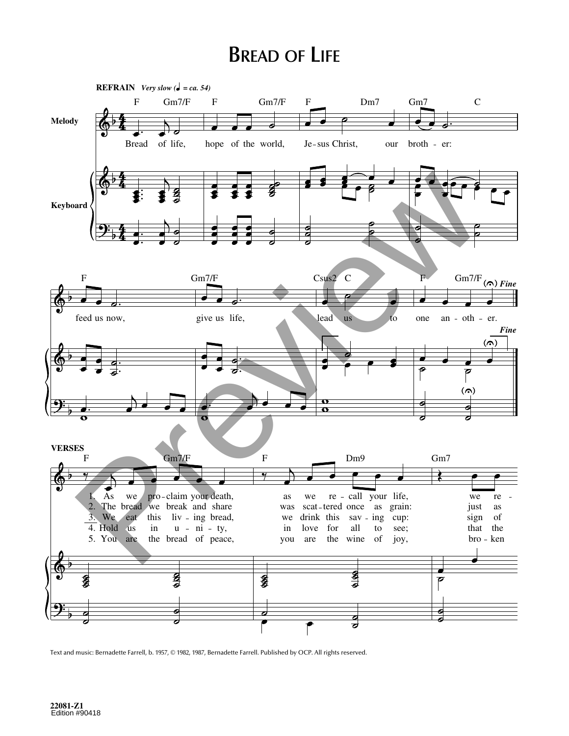## **BREAD OF LIFE**



Text and music: Bernadette Farrell, b. 1957, © 1982, 1987, Bernadette Farrell. Published by OCP. All rights reserved.